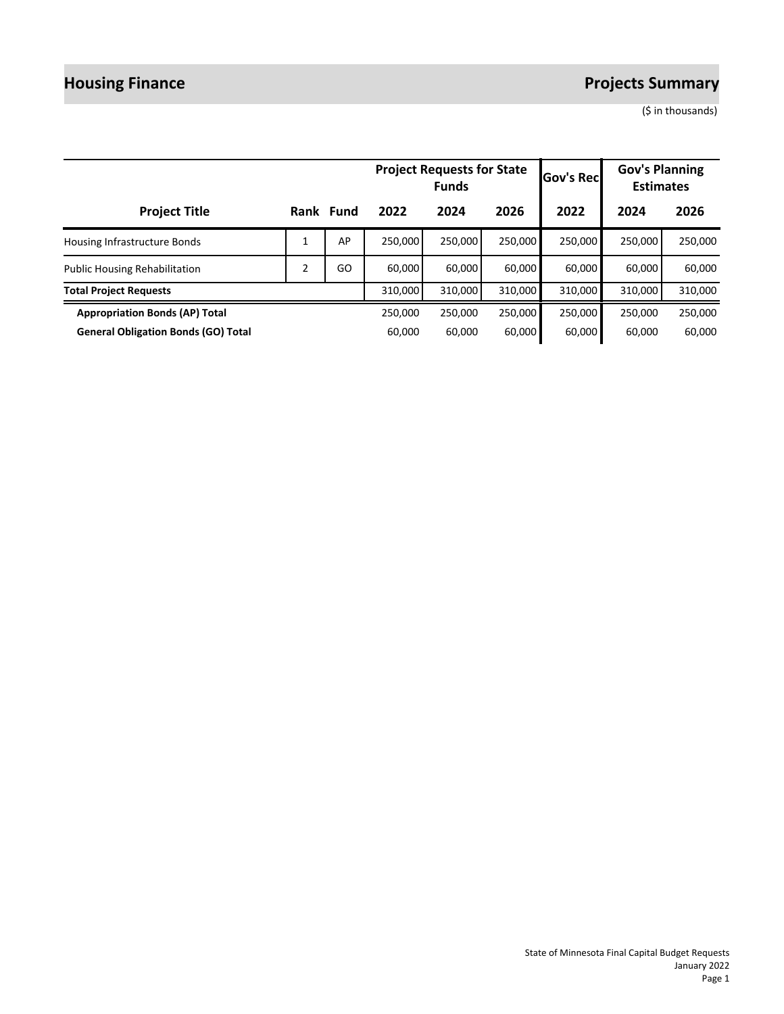# **Housing Finance** *Projects Summary*

(\$ in thousands)

|                                            |                |           |         | <b>Project Requests for State</b><br><b>Funds</b> | <b>Gov's Recl</b> | <b>Gov's Planning</b><br><b>Estimates</b> |         |         |
|--------------------------------------------|----------------|-----------|---------|---------------------------------------------------|-------------------|-------------------------------------------|---------|---------|
| <b>Project Title</b>                       |                | Rank Fund | 2022    | 2024                                              | 2026              | 2022                                      | 2024    | 2026    |
| Housing Infrastructure Bonds               |                | AP        | 250,000 | 250.000                                           | 250,000           | 250.000                                   | 250,000 | 250,000 |
| <b>Public Housing Rehabilitation</b>       | $\overline{2}$ | GO        | 60.000  | 60,000                                            | 60,000            | 60,000                                    | 60.000  | 60,000  |
| <b>Total Project Requests</b>              |                |           | 310,000 | 310,000                                           | 310,000           | 310,000                                   | 310,000 | 310,000 |
| <b>Appropriation Bonds (AP) Total</b>      |                |           | 250,000 | 250,000                                           | 250,000           | 250,000                                   | 250,000 | 250,000 |
| <b>General Obligation Bonds (GO) Total</b> |                |           | 60.000  | 60.000                                            | 60,000            | 60,000                                    | 60.000  | 60,000  |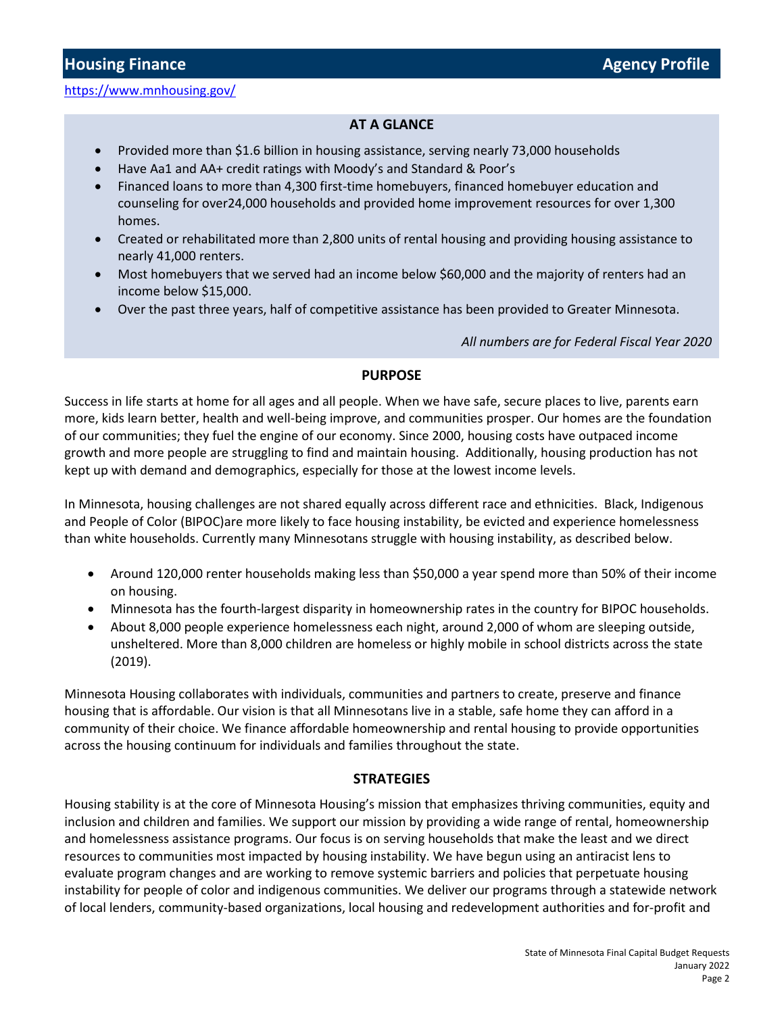<https://www.mnhousing.gov/>

### **AT A GLANCE**

- Provided more than \$1.6 billion in housing assistance, serving nearly 73,000 households
- Have Aa1 and AA+ credit ratings with Moody's and Standard & Poor's
- Financed loans to more than 4,300 first-time homebuyers, financed homebuyer education and counseling for over24,000 households and provided home improvement resources for over 1,300 homes.
- Created or rehabilitated more than 2,800 units of rental housing and providing housing assistance to nearly 41,000 renters.
- Most homebuyers that we served had an income below \$60,000 and the majority of renters had an income below \$15,000.
- Over the past three years, half of competitive assistance has been provided to Greater Minnesota.

*All numbers are for Federal Fiscal Year 2020*

#### **PURPOSE**

Success in life starts at home for all ages and all people. When we have safe, secure places to live, parents earn more, kids learn better, health and well-being improve, and communities prosper. Our homes are the foundation of our communities; they fuel the engine of our economy. Since 2000, housing costs have outpaced income growth and more people are struggling to find and maintain housing. Additionally, housing production has not kept up with demand and demographics, especially for those at the lowest income levels.

In Minnesota, housing challenges are not shared equally across different race and ethnicities. Black, Indigenous and People of Color (BIPOC)are more likely to face housing instability, be evicted and experience homelessness than white households. Currently many Minnesotans struggle with housing instability, as described below.

- Around 120,000 renter households making less than \$50,000 a year spend more than 50% of their income on housing.
- Minnesota has the fourth-largest disparity in homeownership rates in the country for BIPOC households.
- About 8,000 people experience homelessness each night, around 2,000 of whom are sleeping outside, unsheltered. More than 8,000 children are homeless or highly mobile in school districts across the state (2019).

Minnesota Housing collaborates with individuals, communities and partners to create, preserve and finance housing that is affordable. Our vision is that all Minnesotans live in a stable, safe home they can afford in a community of their choice. We finance affordable homeownership and rental housing to provide opportunities across the housing continuum for individuals and families throughout the state.

#### **STRATEGIES**

Housing stability is at the core of Minnesota Housing's mission that emphasizes thriving communities, equity and inclusion and children and families. We support our mission by providing a wide range of rental, homeownership and homelessness assistance programs. Our focus is on serving households that make the least and we direct resources to communities most impacted by housing instability. We have begun using an antiracist lens to evaluate program changes and are working to remove systemic barriers and policies that perpetuate housing instability for people of color and indigenous communities. We deliver our programs through a statewide network of local lenders, community-based organizations, local housing and redevelopment authorities and for-profit and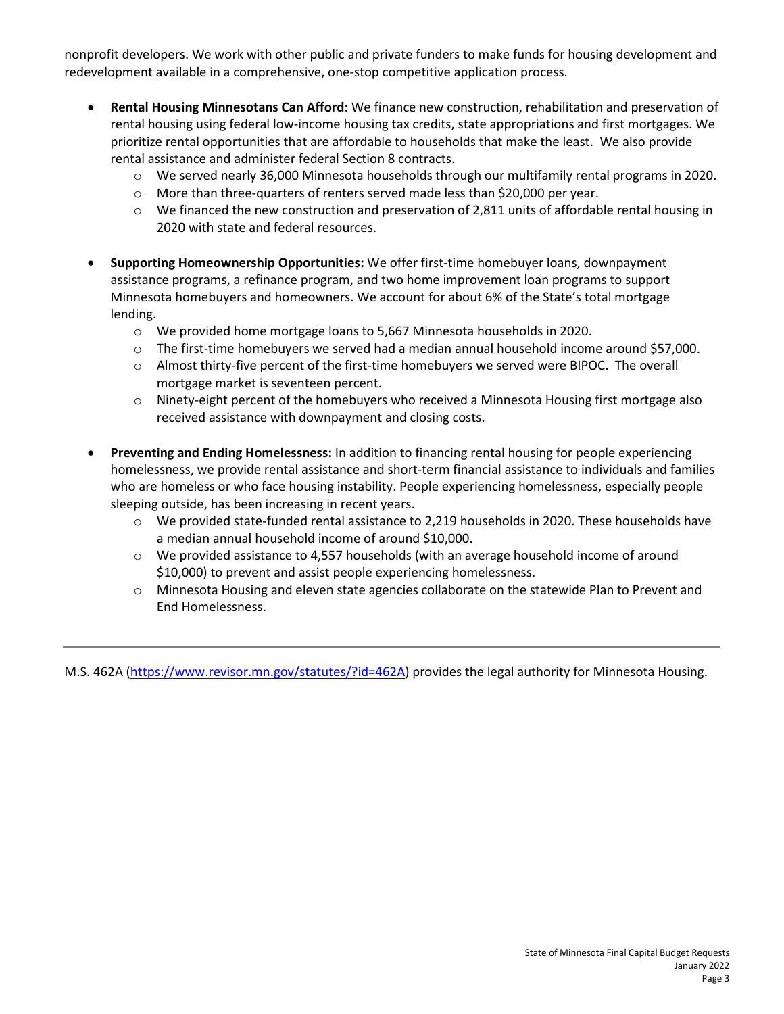nonprofit developers. We work with other public and private funders to make funds for housing development and redevelopment available in a comprehensive, one-stop competitive application process.

- **Rental Housing Minnesotans Can Afford:** We finance new construction, rehabilitation and preservation of rental housing using federal low-income housing tax credits, state appropriations and first mortgages. We prioritize rental opportunities that are affordable to households that make the least. We also provide rental assistance and administer federal Section 8 contracts.
	- o We served nearly 36,000 Minnesota households through our multifamily rental programs in 2020.
	- o More than three-quarters of renters served made less than \$20,000 per year.
	- $\circ$  We financed the new construction and preservation of 2,811 units of affordable rental housing in 2020 with state and federal resources.
- **Supporting Homeownership Opportunities:** We offer first-time homebuyer loans, downpayment assistance programs, a refinance program, and two home improvement loan programs to support Minnesota homebuyers and homeowners. We account for about 6% of the State's total mortgage lending.
	- o We provided home mortgage loans to 5,667 Minnesota households in 2020.
	- $\circ$  The first-time homebuyers we served had a median annual household income around \$57,000.
	- o Almost thirty-five percent of the first-time homebuyers we served were BIPOC. The overall mortgage market is seventeen percent.
	- o Ninety-eight percent of the homebuyers who received a Minnesota Housing first mortgage also received assistance with downpayment and closing costs.
- **Preventing and Ending Homelessness:** In addition to financing rental housing for people experiencing homelessness, we provide rental assistance and short-term financial assistance to individuals and families who are homeless or who face housing instability. People experiencing homelessness, especially people sleeping outside, has been increasing in recent years.
	- $\circ$  We provided state-funded rental assistance to 2,219 households in 2020. These households have a median annual household income of around \$10,000.
	- $\circ$  We provided assistance to 4,557 households (with an average household income of around \$10,000) to prevent and assist people experiencing homelessness.
	- o Minnesota Housing and eleven state agencies collaborate on the statewide Plan to Prevent and End Homelessness.

M.S. 462A [\(https://www.revisor.mn.gov/statutes/?id=462A\)](https://www.revisor.mn.gov/statutes/?id=462A) provides the legal authority for Minnesota Housing.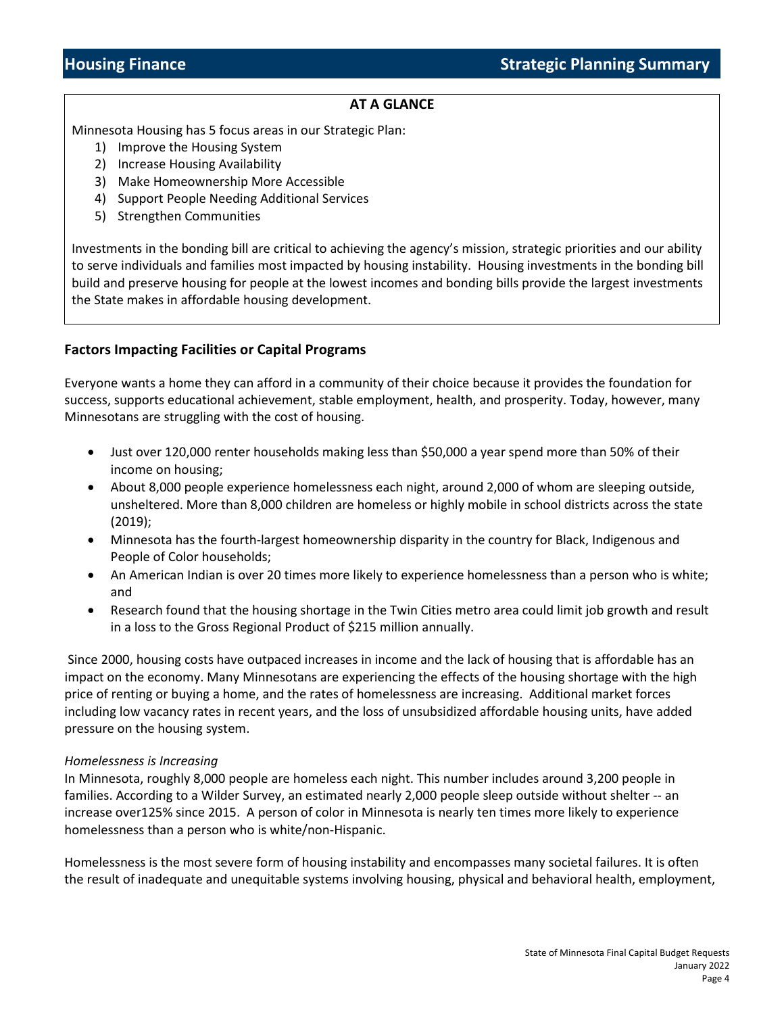## **AT A GLANCE**

Minnesota Housing has 5 focus areas in our Strategic Plan:

- 1) Improve the Housing System
- 2) Increase Housing Availability
- 3) Make Homeownership More Accessible
- 4) Support People Needing Additional Services
- 5) Strengthen Communities

Investments in the bonding bill are critical to achieving the agency's mission, strategic priorities and our ability to serve individuals and families most impacted by housing instability. Housing investments in the bonding bill build and preserve housing for people at the lowest incomes and bonding bills provide the largest investments the State makes in affordable housing development.

### **Factors Impacting Facilities or Capital Programs**

Everyone wants a home they can afford in a community of their choice because it provides the foundation for success, supports educational achievement, stable employment, health, and prosperity. Today, however, many Minnesotans are struggling with the cost of housing.

- Just over 120,000 renter households making less than \$50,000 a year spend more than 50% of their income on housing;
- About 8,000 people experience homelessness each night, around 2,000 of whom are sleeping outside, unsheltered. More than 8,000 children are homeless or highly mobile in school districts across the state (2019);
- Minnesota has the fourth-largest homeownership disparity in the country for Black, Indigenous and People of Color households;
- An American Indian is over 20 times more likely to experience homelessness than a person who is white; and
- Research found that the housing shortage in the Twin Cities metro area could limit job growth and result in a loss to the Gross Regional Product of \$215 million annually.

Since 2000, housing costs have outpaced increases in income and the lack of housing that is affordable has an impact on the economy. Many Minnesotans are experiencing the effects of the housing shortage with the high price of renting or buying a home, and the rates of homelessness are increasing. Additional market forces including low vacancy rates in recent years, and the loss of unsubsidized affordable housing units, have added pressure on the housing system.

#### *Homelessness is Increasing*

In Minnesota, roughly 8,000 people are homeless each night. This number includes around 3,200 people in families. According to a Wilder Survey, an estimated nearly 2,000 people sleep outside without shelter -- an increase over125% since 2015. A person of color in Minnesota is nearly ten times more likely to experience homelessness than a person who is white/non-Hispanic.

Homelessness is the most severe form of housing instability and encompasses many societal failures. It is often the result of inadequate and unequitable systems involving housing, physical and behavioral health, employment,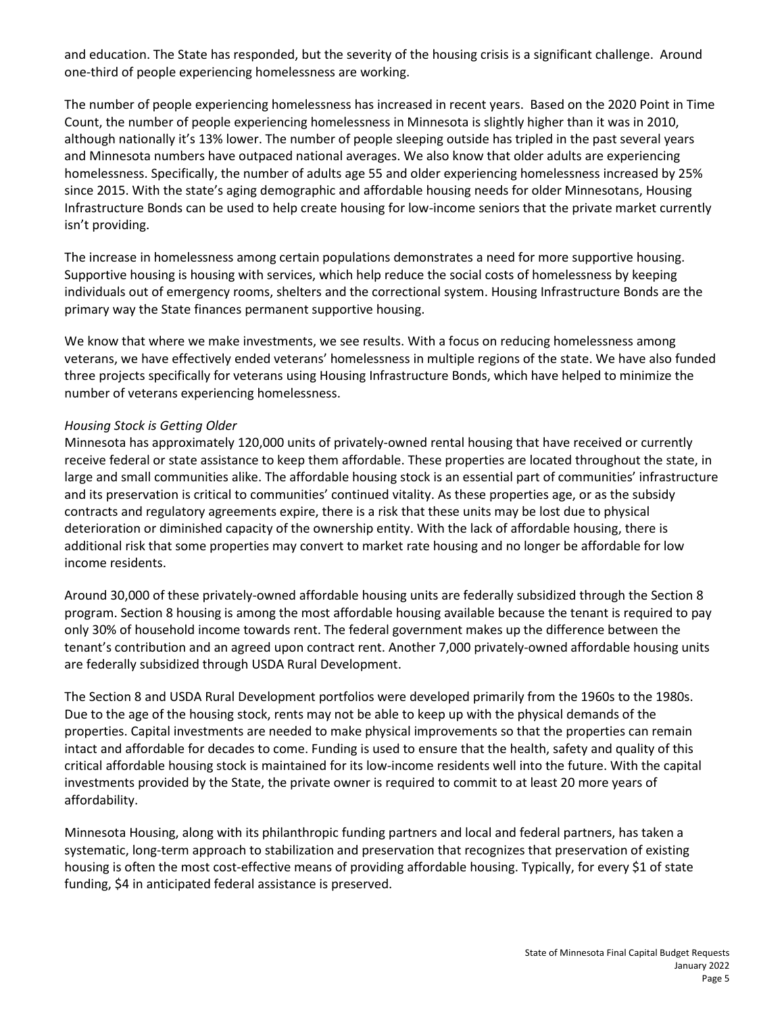and education. The State has responded, but the severity of the housing crisis is a significant challenge. Around one-third of people experiencing homelessness are working.

The number of people experiencing homelessness has increased in recent years. Based on the 2020 Point in Time Count, the number of people experiencing homelessness in Minnesota is slightly higher than it was in 2010, although nationally it's 13% lower. The number of people sleeping outside has tripled in the past several years and Minnesota numbers have outpaced national averages. We also know that older adults are experiencing homelessness. Specifically, the number of adults age 55 and older experiencing homelessness increased by 25% since 2015. With the state's aging demographic and affordable housing needs for older Minnesotans, Housing Infrastructure Bonds can be used to help create housing for low-income seniors that the private market currently isn't providing.

The increase in homelessness among certain populations demonstrates a need for more supportive housing. Supportive housing is housing with services, which help reduce the social costs of homelessness by keeping individuals out of emergency rooms, shelters and the correctional system. Housing Infrastructure Bonds are the primary way the State finances permanent supportive housing.

We know that where we make investments, we see results. With a focus on reducing homelessness among veterans, we have effectively ended veterans' homelessness in multiple regions of the state. We have also funded three projects specifically for veterans using Housing Infrastructure Bonds, which have helped to minimize the number of veterans experiencing homelessness.

#### *Housing Stock is Getting Older*

Minnesota has approximately 120,000 units of privately-owned rental housing that have received or currently receive federal or state assistance to keep them affordable. These properties are located throughout the state, in large and small communities alike. The affordable housing stock is an essential part of communities' infrastructure and its preservation is critical to communities' continued vitality. As these properties age, or as the subsidy contracts and regulatory agreements expire, there is a risk that these units may be lost due to physical deterioration or diminished capacity of the ownership entity. With the lack of affordable housing, there is additional risk that some properties may convert to market rate housing and no longer be affordable for low income residents.

Around 30,000 of these privately-owned affordable housing units are federally subsidized through the Section 8 program. Section 8 housing is among the most affordable housing available because the tenant is required to pay only 30% of household income towards rent. The federal government makes up the difference between the tenant's contribution and an agreed upon contract rent. Another 7,000 privately-owned affordable housing units are federally subsidized through USDA Rural Development.

The Section 8 and USDA Rural Development portfolios were developed primarily from the 1960s to the 1980s. Due to the age of the housing stock, rents may not be able to keep up with the physical demands of the properties. Capital investments are needed to make physical improvements so that the properties can remain intact and affordable for decades to come. Funding is used to ensure that the health, safety and quality of this critical affordable housing stock is maintained for its low-income residents well into the future. With the capital investments provided by the State, the private owner is required to commit to at least 20 more years of affordability.

Minnesota Housing, along with its philanthropic funding partners and local and federal partners, has taken a systematic, long-term approach to stabilization and preservation that recognizes that preservation of existing housing is often the most cost-effective means of providing affordable housing. Typically, for every \$1 of state funding, \$4 in anticipated federal assistance is preserved.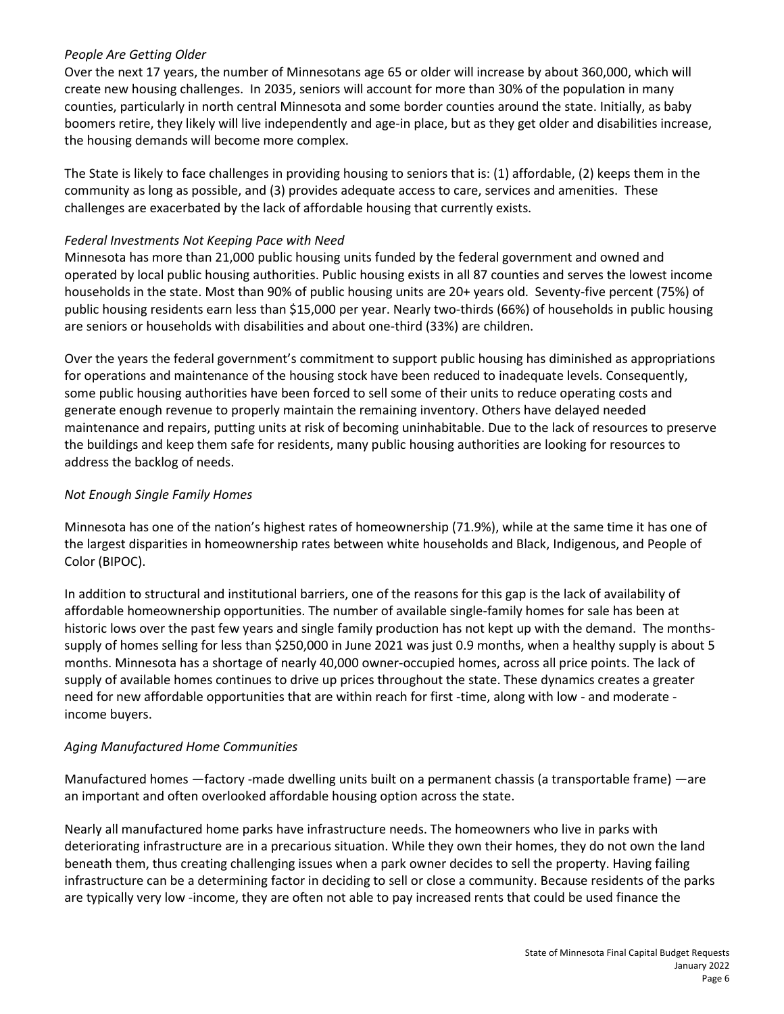#### *People Are Getting Older*

Over the next 17 years, the number of Minnesotans age 65 or older will increase by about 360,000, which will create new housing challenges. In 2035, seniors will account for more than 30% of the population in many counties, particularly in north central Minnesota and some border counties around the state. Initially, as baby boomers retire, they likely will live independently and age-in place, but as they get older and disabilities increase, the housing demands will become more complex.

The State is likely to face challenges in providing housing to seniors that is: (1) affordable, (2) keeps them in the community as long as possible, and (3) provides adequate access to care, services and amenities. These challenges are exacerbated by the lack of affordable housing that currently exists.

#### *Federal Investments Not Keeping Pace with Need*

Minnesota has more than 21,000 public housing units funded by the federal government and owned and operated by local public housing authorities. Public housing exists in all 87 counties and serves the lowest income households in the state. Most than 90% of public housing units are 20+ years old. Seventy-five percent (75%) of public housing residents earn less than \$15,000 per year. Nearly two-thirds (66%) of households in public housing are seniors or households with disabilities and about one-third (33%) are children.

Over the years the federal government's commitment to support public housing has diminished as appropriations for operations and maintenance of the housing stock have been reduced to inadequate levels. Consequently, some public housing authorities have been forced to sell some of their units to reduce operating costs and generate enough revenue to properly maintain the remaining inventory. Others have delayed needed maintenance and repairs, putting units at risk of becoming uninhabitable. Due to the lack of resources to preserve the buildings and keep them safe for residents, many public housing authorities are looking for resources to address the backlog of needs.

#### *Not Enough Single Family Homes*

Minnesota has one of the nation's highest rates of homeownership (71.9%), while at the same time it has one of the largest disparities in homeownership rates between white households and Black, Indigenous, and People of Color (BIPOC).

In addition to structural and institutional barriers, one of the reasons for this gap is the lack of availability of affordable homeownership opportunities. The number of available single-family homes for sale has been at historic lows over the past few years and single family production has not kept up with the demand. The monthssupply of homes selling for less than \$250,000 in June 2021 was just 0.9 months, when a healthy supply is about 5 months. Minnesota has a shortage of nearly 40,000 owner-occupied homes, across all price points. The lack of supply of available homes continues to drive up prices throughout the state. These dynamics creates a greater need for new affordable opportunities that are within reach for first -time, along with low - and moderate income buyers.

### *Aging Manufactured Home Communities*

Manufactured homes —factory -made dwelling units built on a permanent chassis (a transportable frame) —are an important and often overlooked affordable housing option across the state.

Nearly all manufactured home parks have infrastructure needs. The homeowners who live in parks with deteriorating infrastructure are in a precarious situation. While they own their homes, they do not own the land beneath them, thus creating challenging issues when a park owner decides to sell the property. Having failing infrastructure can be a determining factor in deciding to sell or close a community. Because residents of the parks are typically very low -income, they are often not able to pay increased rents that could be used finance the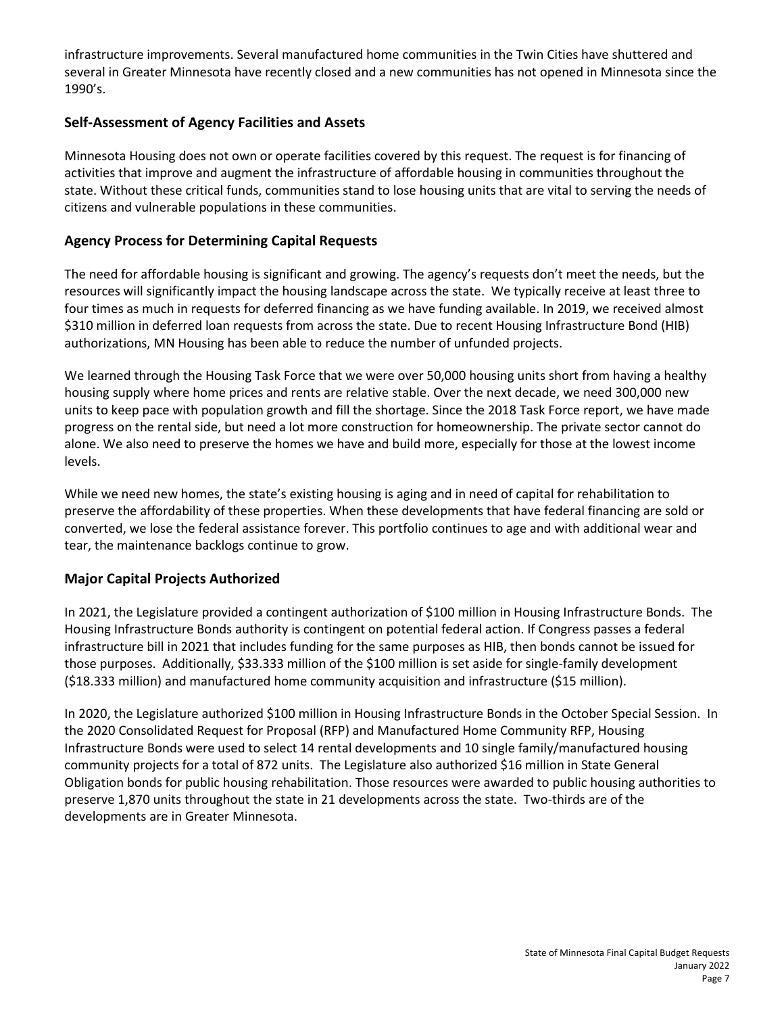infrastructure improvements. Several manufactured home communities in the Twin Cities have shuttered and several in Greater Minnesota have recently closed and a new communities has not opened in Minnesota since the 1990's.

### **Self-Assessment of Agency Facilities and Assets**

Minnesota Housing does not own or operate facilities covered by this request. The request is for financing of activities that improve and augment the infrastructure of affordable housing in communities throughout the state. Without these critical funds, communities stand to lose housing units that are vital to serving the needs of citizens and vulnerable populations in these communities.

### **Agency Process for Determining Capital Requests**

The need for affordable housing is significant and growing. The agency's requests don't meet the needs, but the resources will significantly impact the housing landscape across the state. We typically receive at least three to four times as much in requests for deferred financing as we have funding available. In 2019, we received almost \$310 million in deferred loan requests from across the state. Due to recent Housing Infrastructure Bond (HIB) authorizations, MN Housing has been able to reduce the number of unfunded projects.

We learned through the Housing Task Force that we were over 50,000 housing units short from having a healthy housing supply where home prices and rents are relative stable. Over the next decade, we need 300,000 new units to keep pace with population growth and fill the shortage. Since the 2018 Task Force report, we have made progress on the rental side, but need a lot more construction for homeownership. The private sector cannot do alone. We also need to preserve the homes we have and build more, especially for those at the lowest income levels.

While we need new homes, the state's existing housing is aging and in need of capital for rehabilitation to preserve the affordability of these properties. When these developments that have federal financing are sold or converted, we lose the federal assistance forever. This portfolio continues to age and with additional wear and tear, the maintenance backlogs continue to grow.

### **Major Capital Projects Authorized**

In 2021, the Legislature provided a contingent authorization of \$100 million in Housing Infrastructure Bonds. The Housing Infrastructure Bonds authority is contingent on potential federal action. If Congress passes a federal infrastructure bill in 2021 that includes funding for the same purposes as HIB, then bonds cannot be issued for those purposes. Additionally, \$33.333 million of the \$100 million is set aside for single-family development (\$18.333 million) and manufactured home community acquisition and infrastructure (\$15 million).

In 2020, the Legislature authorized \$100 million in Housing Infrastructure Bonds in the October Special Session. In the 2020 Consolidated Request for Proposal (RFP) and Manufactured Home Community RFP, Housing Infrastructure Bonds were used to select 14 rental developments and 10 single family/manufactured housing community projects for a total of 872 units. The Legislature also authorized \$16 million in State General Obligation bonds for public housing rehabilitation. Those resources were awarded to public housing authorities to preserve 1,870 units throughout the state in 21 developments across the state. Two-thirds are of the developments are in Greater Minnesota.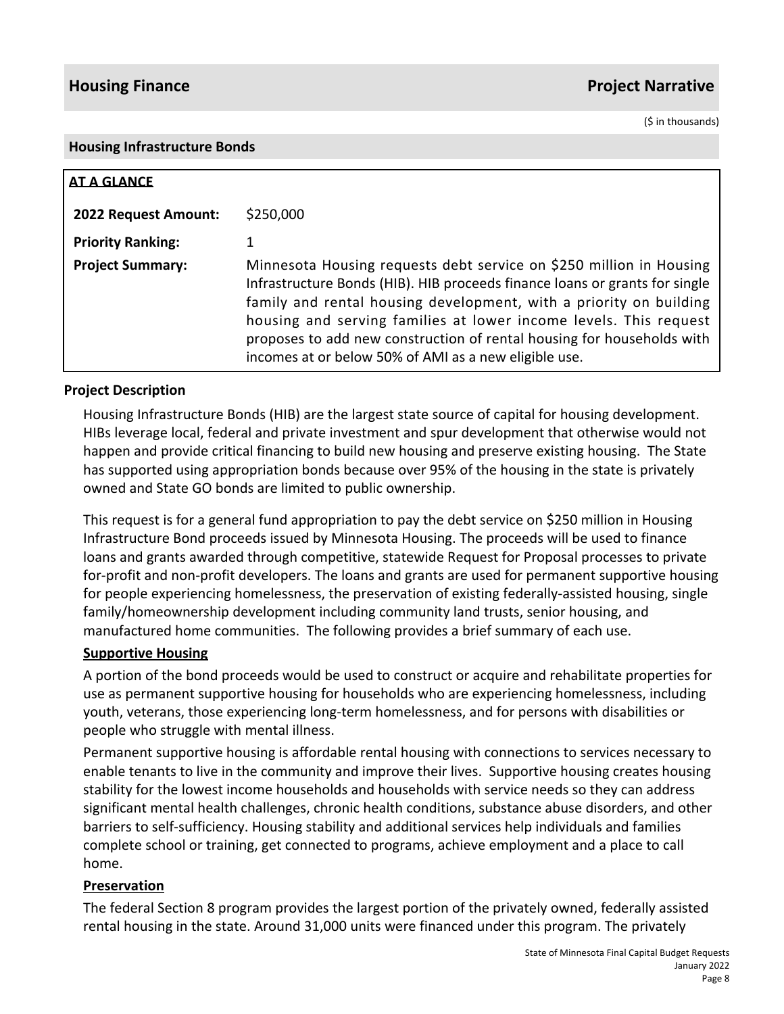## **Housing Finance Project Narrative**

(\$ in thousands)

#### **Housing Infrastructure Bonds**

| AT A GLANCE              |                                                                                                                                                                                                                                                                                                                                                                                                                                  |
|--------------------------|----------------------------------------------------------------------------------------------------------------------------------------------------------------------------------------------------------------------------------------------------------------------------------------------------------------------------------------------------------------------------------------------------------------------------------|
| 2022 Request Amount:     | \$250,000                                                                                                                                                                                                                                                                                                                                                                                                                        |
| <b>Priority Ranking:</b> |                                                                                                                                                                                                                                                                                                                                                                                                                                  |
| <b>Project Summary:</b>  | Minnesota Housing requests debt service on \$250 million in Housing<br>Infrastructure Bonds (HIB). HIB proceeds finance loans or grants for single<br>family and rental housing development, with a priority on building<br>housing and serving families at lower income levels. This request<br>proposes to add new construction of rental housing for households with<br>incomes at or below 50% of AMI as a new eligible use. |

## **Project Description**

Housing Infrastructure Bonds (HIB) are the largest state source of capital for housing development. HIBs leverage local, federal and private investment and spur development that otherwise would not happen and provide critical financing to build new housing and preserve existing housing. The State has supported using appropriation bonds because over 95% of the housing in the state is privately owned and State GO bonds are limited to public ownership.

This request is for a general fund appropriation to pay the debt service on \$250 million in Housing Infrastructure Bond proceeds issued by Minnesota Housing. The proceeds will be used to finance loans and grants awarded through competitive, statewide Request for Proposal processes to private for-profit and non-profit developers. The loans and grants are used for permanent supportive housing for people experiencing homelessness, the preservation of existing federally-assisted housing, single family/homeownership development including community land trusts, senior housing, and manufactured home communities. The following provides a brief summary of each use.

### **Supportive Housing**

A portion of the bond proceeds would be used to construct or acquire and rehabilitate properties for use as permanent supportive housing for households who are experiencing homelessness, including youth, veterans, those experiencing long-term homelessness, and for persons with disabilities or people who struggle with mental illness.

Permanent supportive housing is affordable rental housing with connections to services necessary to enable tenants to live in the community and improve their lives. Supportive housing creates housing stability for the lowest income households and households with service needs so they can address significant mental health challenges, chronic health conditions, substance abuse disorders, and other barriers to self-sufficiency. Housing stability and additional services help individuals and families complete school or training, get connected to programs, achieve employment and a place to call home.

## **Preservation**

The federal Section 8 program provides the largest portion of the privately owned, federally assisted rental housing in the state. Around 31,000 units were financed under this program. The privately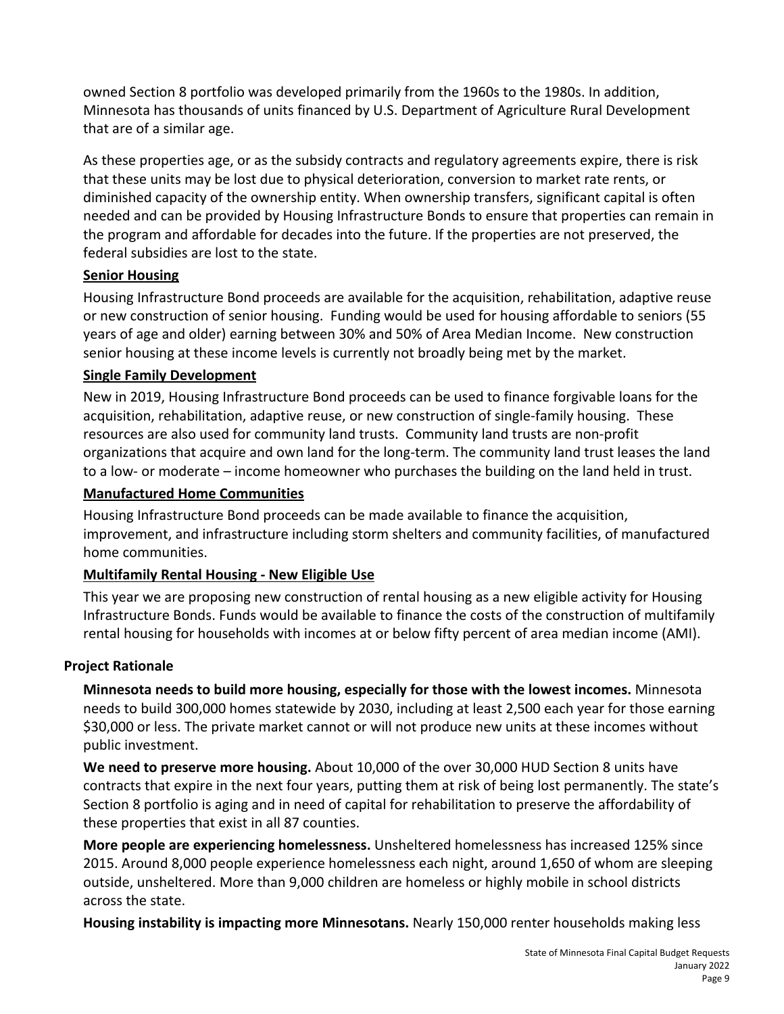owned Section 8 portfolio was developed primarily from the 1960s to the 1980s. In addition, Minnesota has thousands of units financed by U.S. Department of Agriculture Rural Development that are of a similar age.

As these properties age, or as the subsidy contracts and regulatory agreements expire, there is risk that these units may be lost due to physical deterioration, conversion to market rate rents, or diminished capacity of the ownership entity. When ownership transfers, significant capital is often needed and can be provided by Housing Infrastructure Bonds to ensure that properties can remain in the program and affordable for decades into the future. If the properties are not preserved, the federal subsidies are lost to the state.

## **Senior Housing**

Housing Infrastructure Bond proceeds are available for the acquisition, rehabilitation, adaptive reuse or new construction of senior housing. Funding would be used for housing affordable to seniors (55 years of age and older) earning between 30% and 50% of Area Median Income. New construction senior housing at these income levels is currently not broadly being met by the market.

## **Single Family Development**

New in 2019, Housing Infrastructure Bond proceeds can be used to finance forgivable loans for the acquisition, rehabilitation, adaptive reuse, or new construction of single-family housing. These resources are also used for community land trusts. Community land trusts are non-profit organizations that acquire and own land for the long-term. The community land trust leases the land to a low- or moderate – income homeowner who purchases the building on the land held in trust.

## **Manufactured Home Communities**

Housing Infrastructure Bond proceeds can be made available to finance the acquisition, improvement, and infrastructure including storm shelters and community facilities, of manufactured home communities.

## **Multifamily Rental Housing - New Eligible Use**

This year we are proposing new construction of rental housing as a new eligible activity for Housing Infrastructure Bonds. Funds would be available to finance the costs of the construction of multifamily rental housing for households with incomes at or below fifty percent of area median income (AMI).

## **Project Rationale**

**Minnesota needs to build more housing, especially for those with the lowest incomes.** Minnesota needs to build 300,000 homes statewide by 2030, including at least 2,500 each year for those earning \$30,000 or less. The private market cannot or will not produce new units at these incomes without public investment.

**We need to preserve more housing.** About 10,000 of the over 30,000 HUD Section 8 units have contracts that expire in the next four years, putting them at risk of being lost permanently. The state's Section 8 portfolio is aging and in need of capital for rehabilitation to preserve the affordability of these properties that exist in all 87 counties.

**More people are experiencing homelessness.** Unsheltered homelessness has increased 125% since 2015. Around 8,000 people experience homelessness each night, around 1,650 of whom are sleeping outside, unsheltered. More than 9,000 children are homeless or highly mobile in school districts across the state.

**Housing instability is impacting more Minnesotans.** Nearly 150,000 renter households making less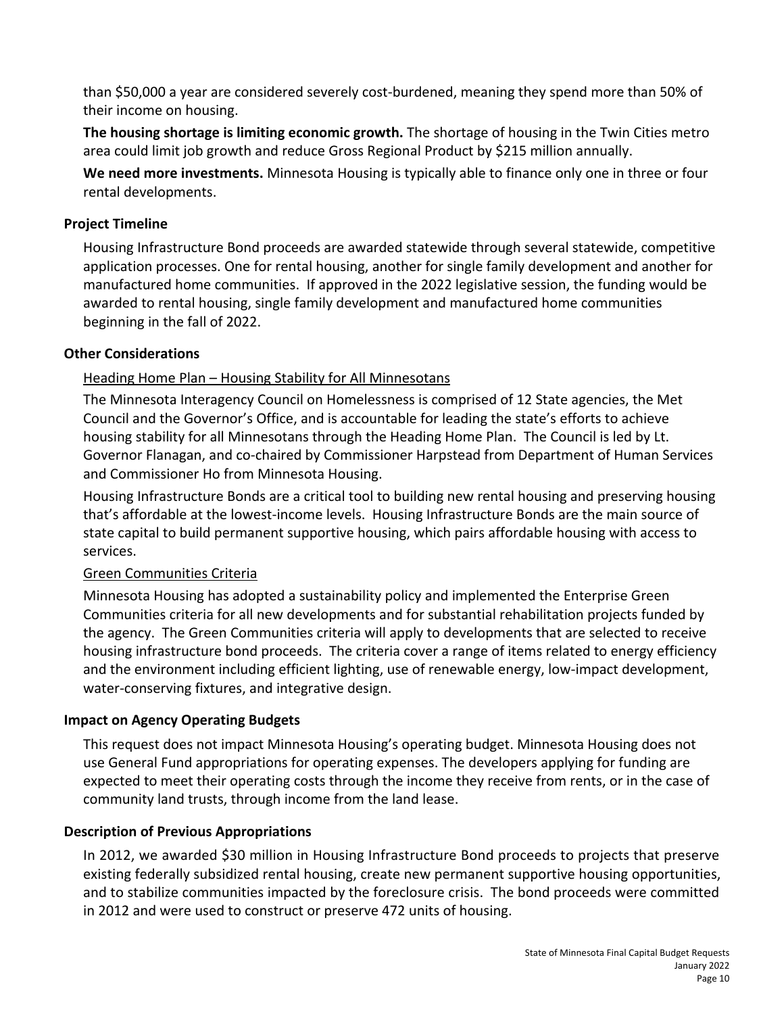than \$50,000 a year are considered severely cost-burdened, meaning they spend more than 50% of their income on housing.

**The housing shortage is limiting economic growth.** The shortage of housing in the Twin Cities metro area could limit job growth and reduce Gross Regional Product by \$215 million annually.

**We need more investments.** Minnesota Housing is typically able to finance only one in three or four rental developments.

## **Project Timeline**

Housing Infrastructure Bond proceeds are awarded statewide through several statewide, competitive application processes. One for rental housing, another for single family development and another for manufactured home communities. If approved in the 2022 legislative session, the funding would be awarded to rental housing, single family development and manufactured home communities beginning in the fall of 2022.

## **Other Considerations**

## Heading Home Plan - Housing Stability for All Minnesotans

The Minnesota Interagency Council on Homelessness is comprised of 12 State agencies, the Met Council and the Governor's Office, and is accountable for leading the state's efforts to achieve housing stability for all Minnesotans through the Heading Home Plan. The Council is led by Lt. Governor Flanagan, and co-chaired by Commissioner Harpstead from Department of Human Services and Commissioner Ho from Minnesota Housing.

Housing Infrastructure Bonds are a critical tool to building new rental housing and preserving housing that's affordable at the lowest-income levels. Housing Infrastructure Bonds are the main source of state capital to build permanent supportive housing, which pairs affordable housing with access to services.

## Green Communities Criteria

Minnesota Housing has adopted a sustainability policy and implemented the Enterprise Green Communities criteria for all new developments and for substantial rehabilitation projects funded by the agency. The Green Communities criteria will apply to developments that are selected to receive housing infrastructure bond proceeds. The criteria cover a range of items related to energy efficiency and the environment including efficient lighting, use of renewable energy, low-impact development, water-conserving fixtures, and integrative design.

## **Impact on Agency Operating Budgets**

This request does not impact Minnesota Housing's operating budget. Minnesota Housing does not use General Fund appropriations for operating expenses. The developers applying for funding are expected to meet their operating costs through the income they receive from rents, or in the case of community land trusts, through income from the land lease.

## **Description of Previous Appropriations**

In 2012, we awarded \$30 million in Housing Infrastructure Bond proceeds to projects that preserve existing federally subsidized rental housing, create new permanent supportive housing opportunities, and to stabilize communities impacted by the foreclosure crisis. The bond proceeds were committed in 2012 and were used to construct or preserve 472 units of housing.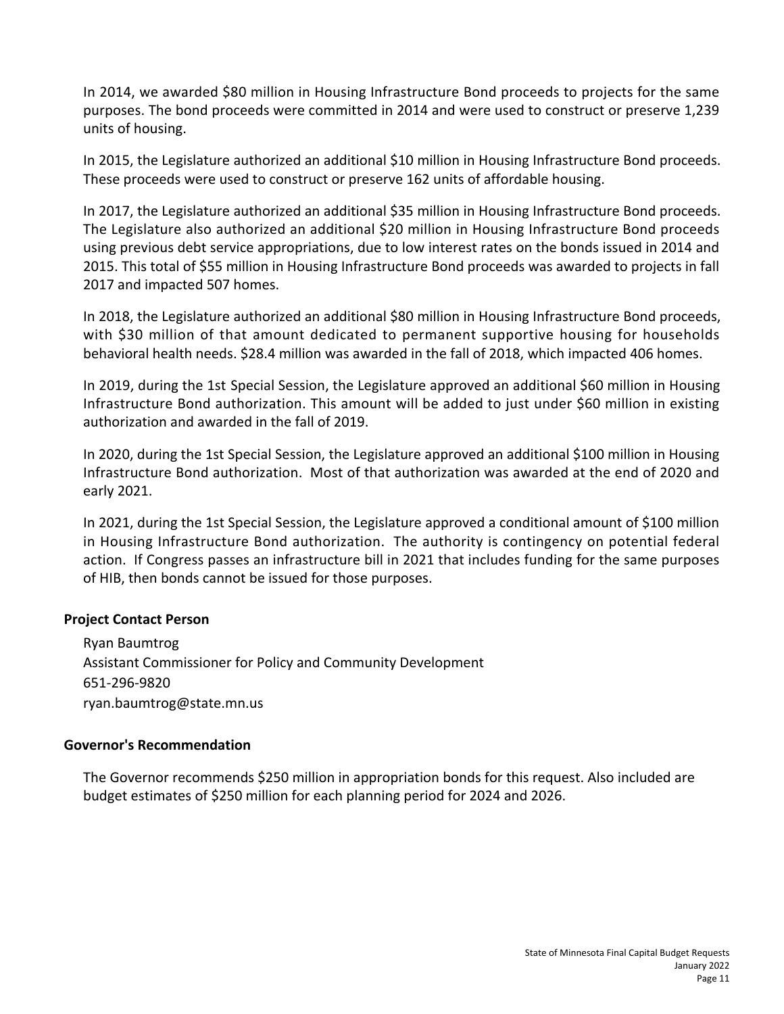In 2014, we awarded \$80 million in Housing Infrastructure Bond proceeds to projects for the same purposes. The bond proceeds were committed in 2014 and were used to construct or preserve 1,239 units of housing.

In 2015, the Legislature authorized an additional \$10 million in Housing Infrastructure Bond proceeds. These proceeds were used to construct or preserve 162 units of affordable housing.

In 2017, the Legislature authorized an additional \$35 million in Housing Infrastructure Bond proceeds. The Legislature also authorized an additional \$20 million in Housing Infrastructure Bond proceeds using previous debt service appropriations, due to low interest rates on the bonds issued in 2014 and 2015. This total of \$55 million in Housing Infrastructure Bond proceeds was awarded to projects in fall 2017 and impacted 507 homes.

In 2018, the Legislature authorized an additional \$80 million in Housing Infrastructure Bond proceeds, with \$30 million of that amount dedicated to permanent supportive housing for households behavioral health needs. \$28.4 million was awarded in the fall of 2018, which impacted 406 homes.

In 2019, during the 1st Special Session, the Legislature approved an additional \$60 million in Housing Infrastructure Bond authorization. This amount will be added to just under \$60 million in existing authorization and awarded in the fall of 2019.

In 2020, during the 1st Special Session, the Legislature approved an additional \$100 million in Housing Infrastructure Bond authorization. Most of that authorization was awarded at the end of 2020 and early 2021.

In 2021, during the 1st Special Session, the Legislature approved a conditional amount of \$100 million in Housing Infrastructure Bond authorization. The authority is contingency on potential federal action. If Congress passes an infrastructure bill in 2021 that includes funding for the same purposes of HIB, then bonds cannot be issued for those purposes.

### **Project Contact Person**

Ryan Baumtrog Assistant Commissioner for Policy and Community Development 651-296-9820 ryan.baumtrog@state.mn.us

## **Governor's Recommendation**

The Governor recommends \$250 million in appropriation bonds for this request. Also included are budget estimates of \$250 million for each planning period for 2024 and 2026.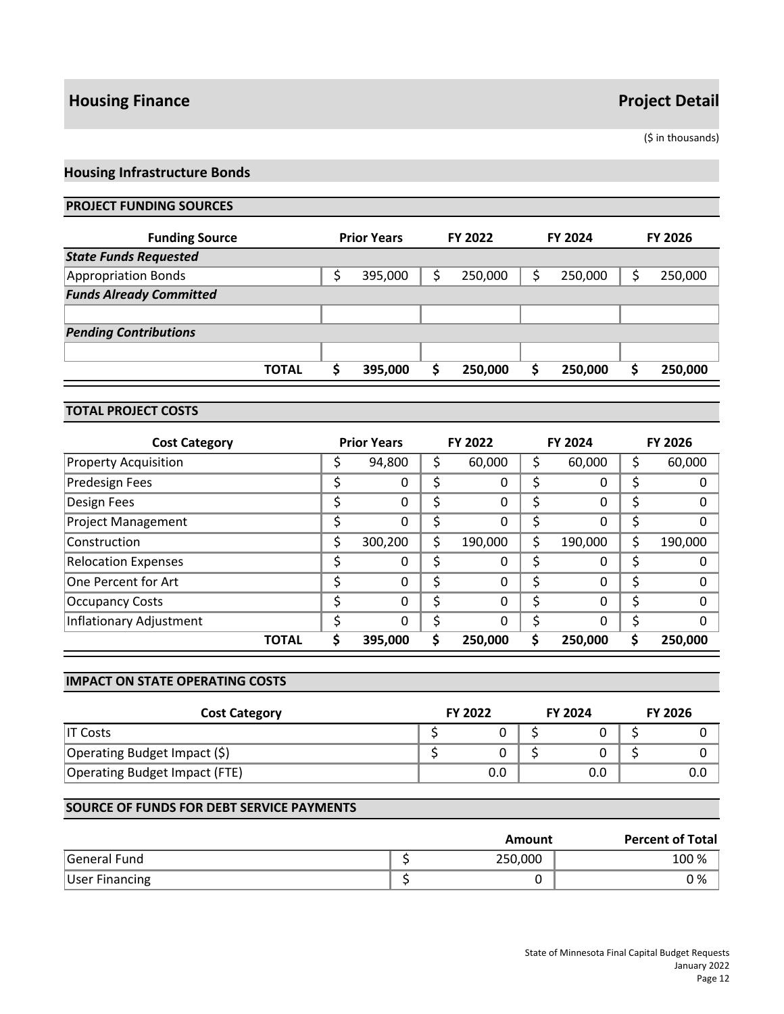## **Housing Finance Project Detail**

(\$ in thousands)

## **Housing Infrastructure Bonds**

#### **PROJECT FUNDING SOURCES**

| <b>Funding Source</b>          | <b>Prior Years</b> |    | FY 2022 |   | <b>FY 2024</b> | <b>FY 2026</b> |
|--------------------------------|--------------------|----|---------|---|----------------|----------------|
| <b>State Funds Requested</b>   |                    |    |         |   |                |                |
| <b>Appropriation Bonds</b>     | 395,000            | \$ | 250,000 | s | 250,000        | 250,000        |
| <b>Funds Already Committed</b> |                    |    |         |   |                |                |
|                                |                    |    |         |   |                |                |
| <b>Pending Contributions</b>   |                    |    |         |   |                |                |
|                                |                    |    |         |   |                |                |
| <b>TOTAL</b>                   | 395,000            | S  | 250,000 |   | 250,000        | 250,000        |

#### **TOTAL PROJECT COSTS**

| <b>Cost Category</b>        |    | <b>Prior Years</b> |    | <b>FY 2022</b> |    | <b>FY 2024</b> |    | <b>FY 2026</b> |
|-----------------------------|----|--------------------|----|----------------|----|----------------|----|----------------|
| <b>Property Acquisition</b> |    | 94,800             | Ş  | 60,000         | S  | 60,000         |    | 60,000         |
| Predesign Fees              | \$ | 0                  | \$ | 0              | Ś  | 0              | Ş  |                |
| Design Fees                 | \$ | $\Omega$           | \$ | 0              | \$ | 0              |    | 0              |
| <b>Project Management</b>   |    | 0                  | \$ | 0              | \$ | 0              |    | 0              |
| Construction                | \$ | 300,200            | \$ | 190,000        | \$ | 190,000        |    | 190,000        |
| <b>Relocation Expenses</b>  |    | $\Omega$           | \$ | 0              | \$ | 0              |    |                |
| One Percent for Art         | \$ | $\Omega$           | \$ | 0              | Ś  | 0              | \$ | O              |
| <b>Occupancy Costs</b>      | ċ  | 0                  | \$ | 0              | \$ | 0              |    | 0              |
| Inflationary Adjustment     |    | $\Omega$           | Ś  | 0              | Ś  | 0              |    | 0              |
| <b>TOTAL</b>                |    | 395,000            | S  | 250,000        | S  | 250,000        |    | 250.000        |

#### **IMPACT ON STATE OPERATING COSTS**

| <b>Cost Category</b>          | <b>FY 2022</b> | <b>FY 2024</b> | <b>FY 2026</b> |
|-------------------------------|----------------|----------------|----------------|
| IT Costs                      |                |                |                |
| Operating Budget Impact (\$)  |                |                |                |
| Operating Budget Impact (FTE) | 0.0            | 0.0            | 0.0            |

#### **SOURCE OF FUNDS FOR DEBT SERVICE PAYMENTS**

|                     | Amount  | <b>Percent of Total</b> |
|---------------------|---------|-------------------------|
| <b>General Fund</b> | 250,000 | 100 %                   |
| User Financing      |         | 0 %                     |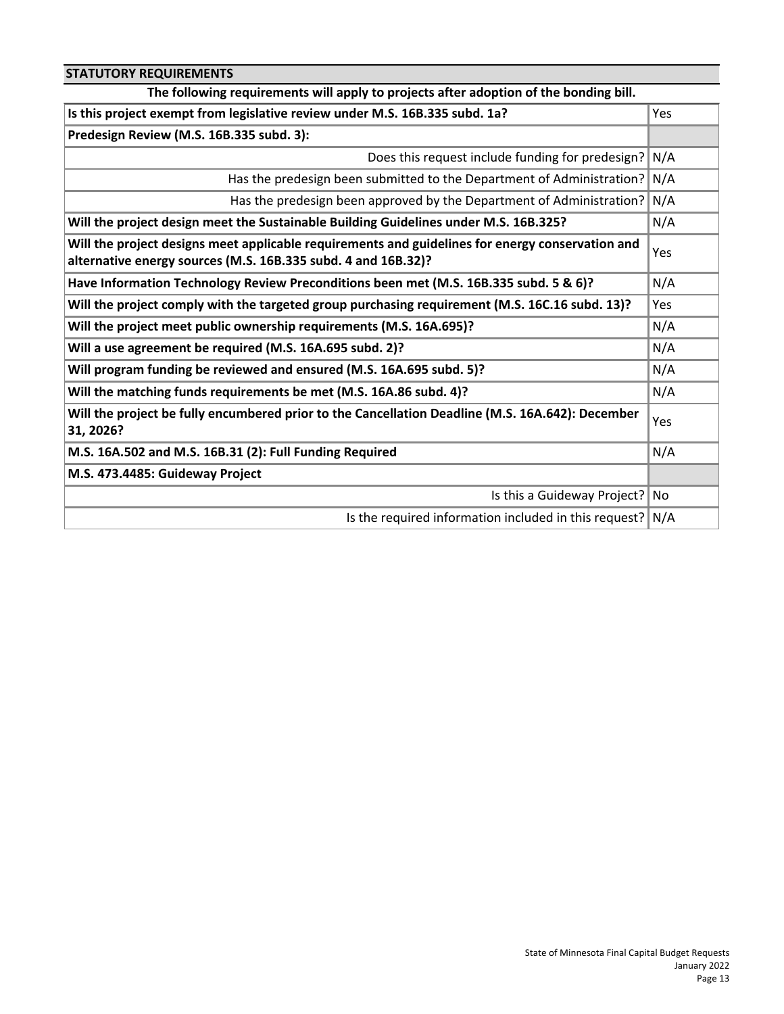| <b>STATUTORY REQUIREMENTS</b>                                                                                                                                     |      |
|-------------------------------------------------------------------------------------------------------------------------------------------------------------------|------|
| The following requirements will apply to projects after adoption of the bonding bill.                                                                             |      |
| Is this project exempt from legislative review under M.S. 16B.335 subd. 1a?                                                                                       | Yes  |
| Predesign Review (M.S. 16B.335 subd. 3):                                                                                                                          |      |
| Does this request include funding for predesign?                                                                                                                  | N/A  |
| Has the predesign been submitted to the Department of Administration? N/A                                                                                         |      |
| Has the predesign been approved by the Department of Administration?                                                                                              | N/A  |
| Will the project design meet the Sustainable Building Guidelines under M.S. 16B.325?                                                                              | N/A  |
| Will the project designs meet applicable requirements and guidelines for energy conservation and<br>alternative energy sources (M.S. 16B.335 subd. 4 and 16B.32)? | Yes  |
| Have Information Technology Review Preconditions been met (M.S. 16B.335 subd. 5 & 6)?                                                                             | N/A  |
| Will the project comply with the targeted group purchasing requirement (M.S. 16C.16 subd. 13)?                                                                    | Yes  |
| Will the project meet public ownership requirements (M.S. 16A.695)?                                                                                               | N/A  |
| Will a use agreement be required (M.S. 16A.695 subd. 2)?                                                                                                          | N/A  |
| Will program funding be reviewed and ensured (M.S. 16A.695 subd. 5)?                                                                                              | N/A  |
| Will the matching funds requirements be met (M.S. 16A.86 subd. 4)?                                                                                                | N/A  |
| Will the project be fully encumbered prior to the Cancellation Deadline (M.S. 16A.642): December<br>31, 2026?                                                     | Yes  |
| M.S. 16A.502 and M.S. 16B.31 (2): Full Funding Required                                                                                                           | N/A  |
| M.S. 473.4485: Guideway Project                                                                                                                                   |      |
| Is this a Guideway Project?                                                                                                                                       | l No |
| Is the required information included in this request? $N/A$                                                                                                       |      |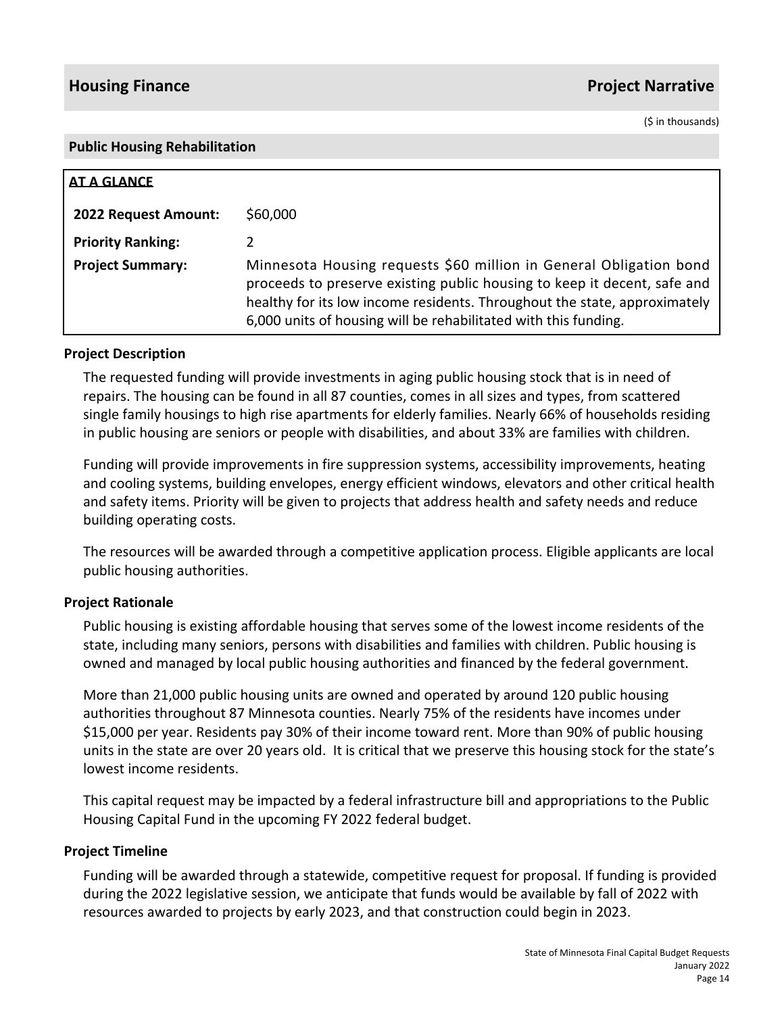## **Housing Finance Project Narrative**

(\$ in thousands)

#### **Public Housing Rehabilitation**

| AT A GLANCE              |                                                                                                                                                                                                                                                                                                |
|--------------------------|------------------------------------------------------------------------------------------------------------------------------------------------------------------------------------------------------------------------------------------------------------------------------------------------|
| 2022 Request Amount:     | \$60,000                                                                                                                                                                                                                                                                                       |
| <b>Priority Ranking:</b> |                                                                                                                                                                                                                                                                                                |
| <b>Project Summary:</b>  | Minnesota Housing requests \$60 million in General Obligation bond<br>proceeds to preserve existing public housing to keep it decent, safe and<br>healthy for its low income residents. Throughout the state, approximately<br>6,000 units of housing will be rehabilitated with this funding. |

### **Project Description**

The requested funding will provide investments in aging public housing stock that is in need of repairs. The housing can be found in all 87 counties, comes in all sizes and types, from scattered single family housings to high rise apartments for elderly families. Nearly 66% of households residing in public housing are seniors or people with disabilities, and about 33% are families with children.

Funding will provide improvements in fire suppression systems, accessibility improvements, heating and cooling systems, building envelopes, energy efficient windows, elevators and other critical health and safety items. Priority will be given to projects that address health and safety needs and reduce building operating costs.

The resources will be awarded through a competitive application process. Eligible applicants are local public housing authorities.

## **Project Rationale**

Public housing is existing affordable housing that serves some of the lowest income residents of the state, including many seniors, persons with disabilities and families with children. Public housing is owned and managed by local public housing authorities and financed by the federal government.

More than 21,000 public housing units are owned and operated by around 120 public housing authorities throughout 87 Minnesota counties. Nearly 75% of the residents have incomes under \$15,000 per year. Residents pay 30% of their income toward rent. More than 90% of public housing units in the state are over 20 years old. It is critical that we preserve this housing stock for the state's lowest income residents.

This capital request may be impacted by a federal infrastructure bill and appropriations to the Public Housing Capital Fund in the upcoming FY 2022 federal budget.

### **Project Timeline**

Funding will be awarded through a statewide, competitive request for proposal. If funding is provided during the 2022 legislative session, we anticipate that funds would be available by fall of 2022 with resources awarded to projects by early 2023, and that construction could begin in 2023.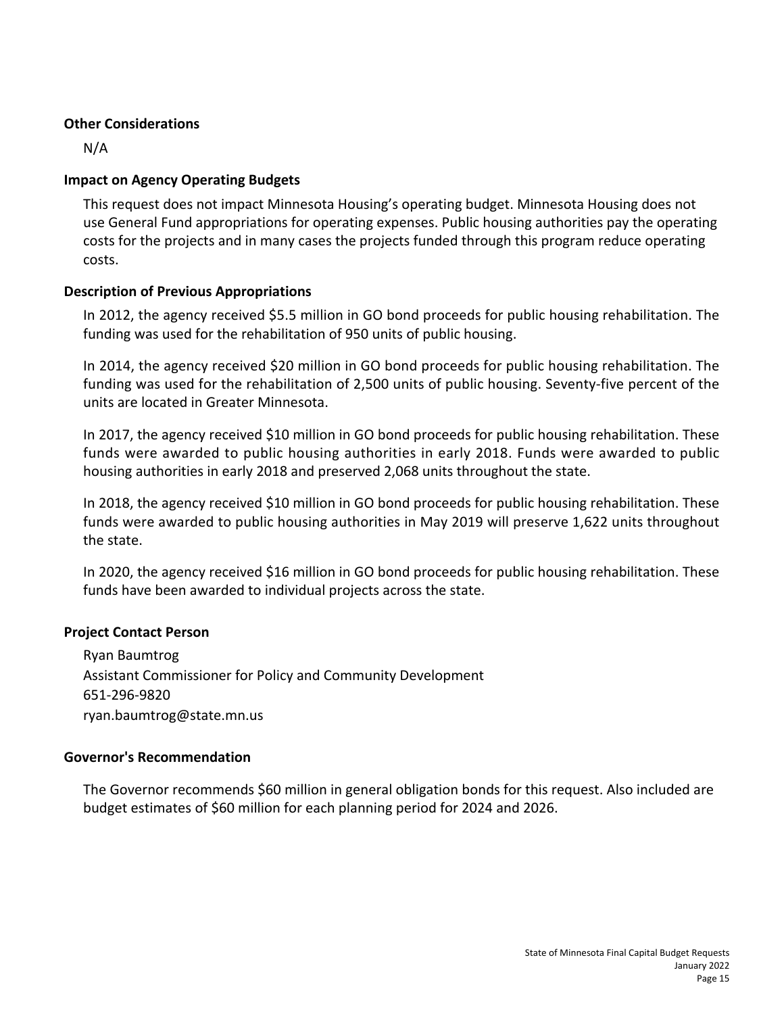## **Other Considerations**

N/A

## **Impact on Agency Operating Budgets**

This request does not impact Minnesota Housing's operating budget. Minnesota Housing does not use General Fund appropriations for operating expenses. Public housing authorities pay the operating costs for the projects and in many cases the projects funded through this program reduce operating costs.

## **Description of Previous Appropriations**

In 2012, the agency received \$5.5 million in GO bond proceeds for public housing rehabilitation. The funding was used for the rehabilitation of 950 units of public housing.

In 2014, the agency received \$20 million in GO bond proceeds for public housing rehabilitation. The funding was used for the rehabilitation of 2,500 units of public housing. Seventy-five percent of the units are located in Greater Minnesota.

In 2017, the agency received \$10 million in GO bond proceeds for public housing rehabilitation. These funds were awarded to public housing authorities in early 2018. Funds were awarded to public housing authorities in early 2018 and preserved 2,068 units throughout the state.

In 2018, the agency received \$10 million in GO bond proceeds for public housing rehabilitation. These funds were awarded to public housing authorities in May 2019 will preserve 1,622 units throughout the state.

In 2020, the agency received \$16 million in GO bond proceeds for public housing rehabilitation. These funds have been awarded to individual projects across the state.

## **Project Contact Person**

Ryan Baumtrog Assistant Commissioner for Policy and Community Development 651-296-9820 ryan.baumtrog@state.mn.us

## **Governor's Recommendation**

The Governor recommends \$60 million in general obligation bonds for this request. Also included are budget estimates of \$60 million for each planning period for 2024 and 2026.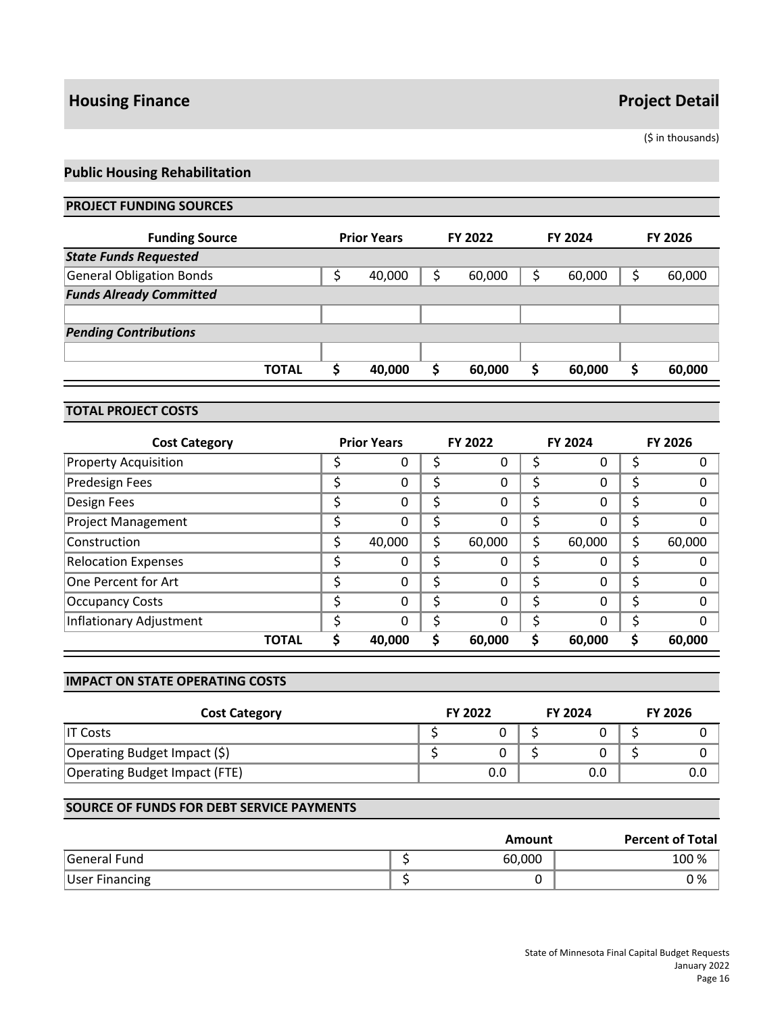## **Housing Finance Project Detail**

(\$ in thousands)

## **Public Housing Rehabilitation**

#### **PROJECT FUNDING SOURCES**

| <b>Funding Source</b>           | <b>Prior Years</b> |    | <b>FY 2022</b> |   | <b>FY 2024</b> | <b>FY 2026</b> |
|---------------------------------|--------------------|----|----------------|---|----------------|----------------|
| <b>State Funds Requested</b>    |                    |    |                |   |                |                |
| <b>General Obligation Bonds</b> | \$<br>40,000       | \$ | 60,000         | S | 60,000         | 60,000         |
| <b>Funds Already Committed</b>  |                    |    |                |   |                |                |
|                                 |                    |    |                |   |                |                |
| <b>Pending Contributions</b>    |                    |    |                |   |                |                |
|                                 |                    |    |                |   |                |                |
| <b>TOTAL</b>                    | 40,000             | S  | 60,000         | S | 60,000         | 60,000         |

#### **TOTAL PROJECT COSTS**

| <b>Cost Category</b>        |   | <b>Prior Years</b> |    | <b>FY 2022</b> |    | <b>FY 2024</b> | <b>FY 2026</b> |
|-----------------------------|---|--------------------|----|----------------|----|----------------|----------------|
| <b>Property Acquisition</b> |   | O                  | S  | 0              | S  | 0              |                |
| <b>Predesign Fees</b>       | c | 0                  | \$ | 0              | Ś  | 0              | \$             |
| Design Fees                 | ċ | 0                  | \$ | 0              | \$ | 0              | 0              |
| <b>Project Management</b>   |   | 0                  | \$ | 0              | S  | 0              |                |
| Construction                | Ś | 40,000             | \$ | 60,000         | \$ | 60,000         | \$<br>60,000   |
| <b>Relocation Expenses</b>  |   | 0                  | \$ | 0              | \$ | 0              |                |
| One Percent for Art         | Ś | $\Omega$           | \$ | 0              | Ś  | 0              | \$<br>∩        |
| <b>Occupancy Costs</b>      | c | 0                  | \$ | 0              | Ś  | 0              |                |
| Inflationary Adjustment     |   | $\Omega$           | Ś  | 0              | S  | 0              | 0              |
| <b>TOTAL</b>                |   | 40,000             | Ś  | 60,000         | \$ | 60,000         | 60,000         |

#### **IMPACT ON STATE OPERATING COSTS**

| <b>Cost Category</b>          | <b>FY 2022</b> | <b>FY 2024</b> | <b>FY 2026</b> |
|-------------------------------|----------------|----------------|----------------|
| IT Costs                      |                |                |                |
| Operating Budget Impact (\$)  |                |                |                |
| Operating Budget Impact (FTE) | 0.0            | 0.0            | 0.0            |

#### **SOURCE OF FUNDS FOR DEBT SERVICE PAYMENTS**

|                       | Amount | <b>Percent of Total</b> |
|-----------------------|--------|-------------------------|
| <b>General Fund</b>   | 60,000 | 100 %                   |
| <b>User Financing</b> |        | 0 %                     |